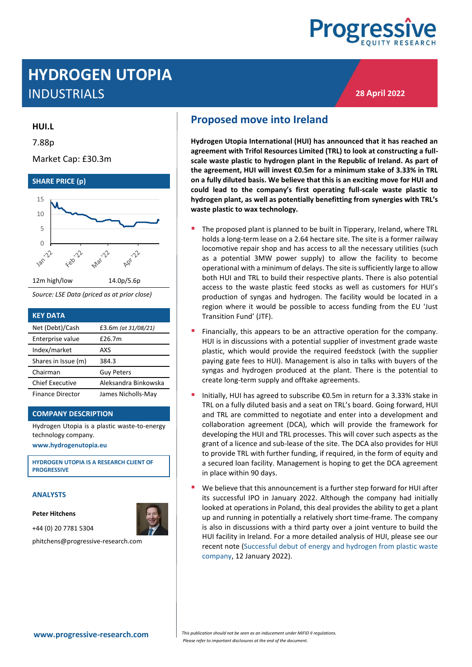

**28 April 2022**

# **HYDROGEN UTOPIA** INDUSTRIALS

#### **HUI.L**

7.88p

Market Cap: £30.3m



*Source: LSE Data (priced as at prior close)*

| <b>KEY DATA</b>         |                      |
|-------------------------|----------------------|
| Net (Debt)/Cash         | £3.6m (at 31/08/21)  |
| Enterprise value        | £26.7m               |
| Index/market            | AXS                  |
| Shares in Issue (m)     | 384.3                |
| Chairman                | <b>Guy Peters</b>    |
| <b>Chief Executive</b>  | Aleksandra Binkowska |
| <b>Finance Director</b> | James Nicholls-May   |

#### **COMPANY DESCRIPTION**

Hydrogen Utopia is a plastic waste-to-energy technology company.

**[www.hydrogenutopia.eu](http://www.hydrogenutopia.eu/)**

**HYDROGEN UTOPIA IS A RESEARCH CLIENT OF PROGRESSIVE**

#### **ANALYSTS**

**Peter Hitchens**



phitchens@progressive-research.com

## **Proposed move into Ireland**

**Hydrogen Utopia International (HUI) has announced that it has reached an agreement with Trifol Resources Limited (TRL) to look at constructing a fullscale waste plastic to hydrogen plant in the Republic of Ireland. As part of the agreement, HUI will invest €0.5m for a minimum stake of 3.33% in TRL on a fully diluted basis. We believe that this is an exciting move for HUI and could lead to the company's first operating full-scale waste plastic to hydrogen plant, as well as potentially benefitting from synergies with TRL's waste plastic to wax technology.**

- The proposed plant is planned to be built in Tipperary, Ireland, where TRL holds a long-term lease on a 2.64 hectare site. The site is a former railway locomotive repair shop and has access to all the necessary utilities (such as a potential 3MW power supply) to allow the facility to become operational with a minimum of delays. The site is sufficiently large to allow both HUI and TRL to build their respective plants. There is also potential access to the waste plastic feed stocks as well as customers for HUI's production of syngas and hydrogen. The facility would be located in a region where it would be possible to access funding from the EU 'Just Transition Fund' (JTF).
- Financially, this appears to be an attractive operation for the company. HUI is in discussions with a potential supplier of investment grade waste plastic, which would provide the required feedstock (with the supplier paying gate fees to HUI). Management is also in talks with buyers of the syngas and hydrogen produced at the plant. There is the potential to create long-term supply and offtake agreements.
- Initially, HUI has agreed to subscribe €0.5m in return for a 3.33% stake in TRL on a fully diluted basis and a seat on TRL's board. Going forward, HUI and TRL are committed to negotiate and enter into a development and collaboration agreement (DCA), which will provide the framework for developing the HUI and TRL processes. This will cover such aspects as the grant of a licence and sub-lease of the site. The DCA also provides for HUI to provide TRL with further funding, if required, in the form of equity and a secured loan facility. Management is hoping to get the DCA agreement in place within 90 days.
- We believe that this announcement is a further step forward for HUI after its successful IPO in January 2022. Although the company had initially looked at operations in Poland, this deal provides the ability to get a plant up and running in potentially a relatively short time-frame. The company is also in discussions with a third party over a joint venture to build the HUI facility in Ireland. For a more detailed analysis of HUI, please see our recent note [\(Successful debut of energy and hydrogen from plastic waste](https://progressive-research.com/research/successful-debut-of-energy-and-hydrogen-from-plastic-waste-company/)  [company,](https://progressive-research.com/research/successful-debut-of-energy-and-hydrogen-from-plastic-waste-company/) 12 January 2022).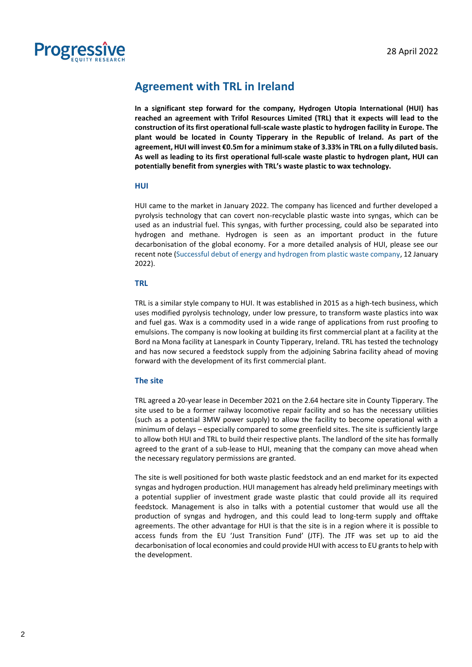

### **Agreement with TRL in Ireland**

**In a significant step forward for the company, Hydrogen Utopia International (HUI) has reached an agreement with Trifol Resources Limited (TRL) that it expects will lead to the construction of its first operational full-scale waste plastic to hydrogen facility in Europe. The plant would be located in County Tipperary in the Republic of Ireland. As part of the agreement, HUI will invest €0.5m for a minimum stake of 3.33% in TRL on a fully diluted basis. As well as leading to its first operational full-scale waste plastic to hydrogen plant, HUI can potentially benefit from synergies with TRL's waste plastic to wax technology.**

#### **HUI**

HUI came to the market in January 2022. The company has licenced and further developed a pyrolysis technology that can covert non-recyclable plastic waste into syngas, which can be used as an industrial fuel. This syngas, with further processing, could also be separated into hydrogen and methane. Hydrogen is seen as an important product in the future decarbonisation of the global economy. For a more detailed analysis of HUI, please see our recent note [\(Successful debut of energy and hydrogen from plastic waste company,](https://progressive-research.com/research/successful-debut-of-energy-and-hydrogen-from-plastic-waste-company/) 12 January 2022).

#### **TRL**

TRL is a similar style company to HUI. It was established in 2015 as a high-tech business, which uses modified pyrolysis technology, under low pressure, to transform waste plastics into wax and fuel gas. Wax is a commodity used in a wide range of applications from rust proofing to emulsions. The company is now looking at building its first commercial plant at a facility at the Bord na Mona facility at Lanespark in County Tipperary, Ireland. TRL has tested the technology and has now secured a feedstock supply from the adjoining Sabrina facility ahead of moving forward with the development of its first commercial plant.

#### **The site**

TRL agreed a 20-year lease in December 2021 on the 2.64 hectare site in County Tipperary. The site used to be a former railway locomotive repair facility and so has the necessary utilities (such as a potential 3MW power supply) to allow the facility to become operational with a minimum of delays – especially compared to some greenfield sites. The site is sufficiently large to allow both HUI and TRL to build their respective plants. The landlord of the site has formally agreed to the grant of a sub-lease to HUI, meaning that the company can move ahead when the necessary regulatory permissions are granted.

The site is well positioned for both waste plastic feedstock and an end market for its expected syngas and hydrogen production. HUI management has already held preliminary meetings with a potential supplier of investment grade waste plastic that could provide all its required feedstock. Management is also in talks with a potential customer that would use all the production of syngas and hydrogen, and this could lead to long-term supply and offtake agreements. The other advantage for HUI is that the site is in a region where it is possible to access funds from the EU 'Just Transition Fund' (JTF). The JTF was set up to aid the decarbonisation of local economies and could provide HUI with access to EU grants to help with the development.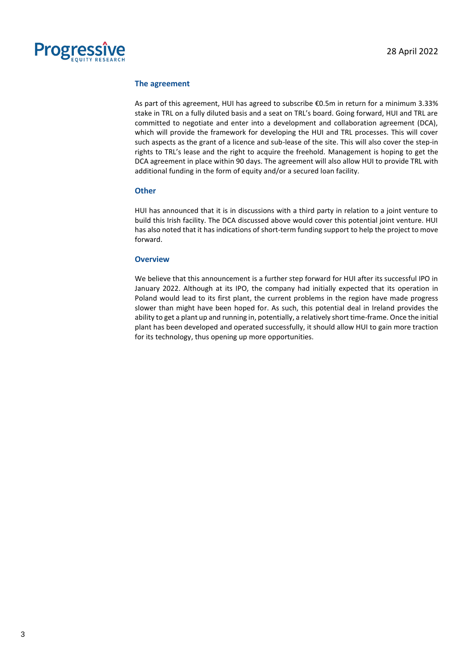

#### **The agreement**

As part of this agreement, HUI has agreed to subscribe €0.5m in return for a minimum 3.33% stake in TRL on a fully diluted basis and a seat on TRL's board. Going forward, HUI and TRL are committed to negotiate and enter into a development and collaboration agreement (DCA), which will provide the framework for developing the HUI and TRL processes. This will cover such aspects as the grant of a licence and sub-lease of the site. This will also cover the step-in rights to TRL's lease and the right to acquire the freehold. Management is hoping to get the DCA agreement in place within 90 days. The agreement will also allow HUI to provide TRL with additional funding in the form of equity and/or a secured loan facility.

#### **Other**

HUI has announced that it is in discussions with a third party in relation to a joint venture to build this Irish facility. The DCA discussed above would cover this potential joint venture. HUI has also noted that it has indications of short-term funding support to help the project to move forward.

#### **Overview**

We believe that this announcement is a further step forward for HUI after its successful IPO in January 2022. Although at its IPO, the company had initially expected that its operation in Poland would lead to its first plant, the current problems in the region have made progress slower than might have been hoped for. As such, this potential deal in Ireland provides the ability to get a plant up and running in, potentially, a relatively short time-frame. Once the initial plant has been developed and operated successfully, it should allow HUI to gain more traction for its technology, thus opening up more opportunities.